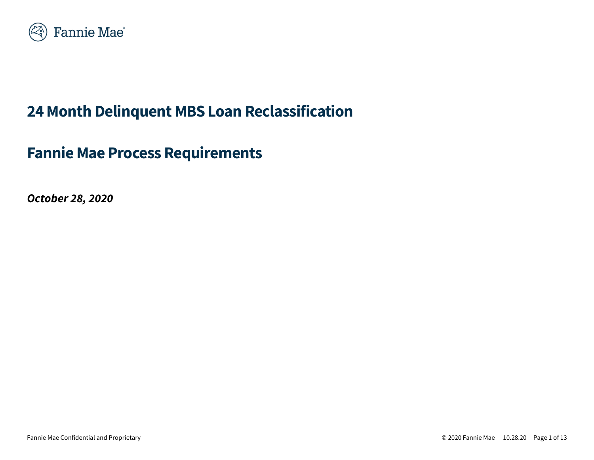

# **24 Month Delinquent MBS Loan Reclassification**

# **Fannie Mae Process Requirements**

*October 28, 2020*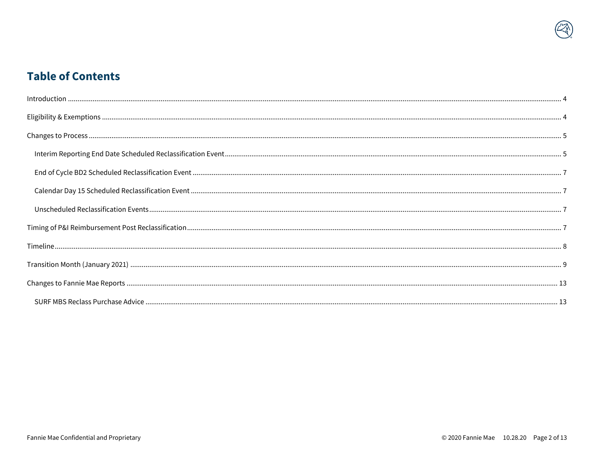## **Table of Contents**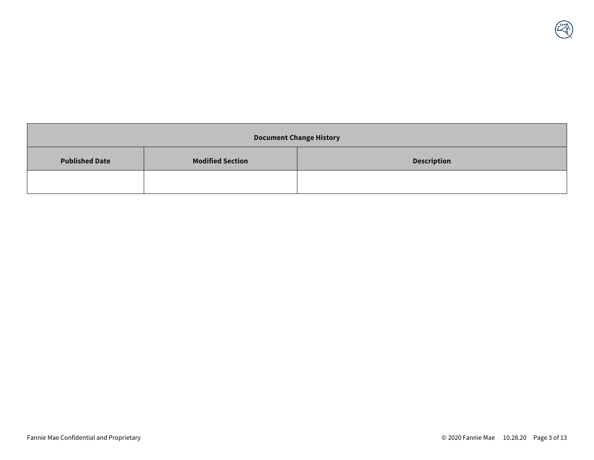| <b>Document Change History</b> |                         |                    |  |
|--------------------------------|-------------------------|--------------------|--|
| <b>Published Date</b>          | <b>Modified Section</b> | <b>Description</b> |  |
|                                |                         |                    |  |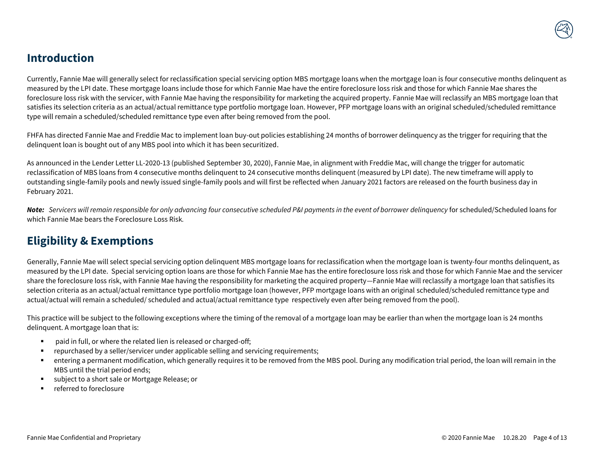### <span id="page-3-0"></span>**Introduction**

Currently, Fannie Mae will generally select for reclassification special servicing option MBS mortgage loans when the mortgage loan is four consecutive months delinquent as measured by the LPI date. These mortgage loans include those for which Fannie Mae have the entire foreclosure loss risk and those for which Fannie Mae shares the foreclosure loss risk with the servicer, with Fannie Mae having the responsibility for marketing the acquired property. Fannie Mae will reclassify an MBS mortgage loan that satisfies its selection criteria as an actual/actual remittance type portfolio mortgage loan. However, PFP mortgage loans with an original scheduled/scheduled remittance type will remain a scheduled/scheduled remittance type even after being removed from the pool.

FHFA has directed Fannie Mae and Freddie Mac to implement loan buy-out policies establishing 24 months of borrower delinquency as the trigger for requiring that the delinquent loan is bought out of any MBS pool into which it has been securitized.

As announced in the Lender Letter LL-2020-13 (published September 30, 2020), Fannie Mae, in alignment with Freddie Mac, will change the trigger for automatic reclassification of MBS loans from 4 consecutive months delinquent to 24 consecutive months delinquent (measured by LPI date). The new timeframe will apply to outstanding single-family pools and newly issued single-family pools and will first be reflected when January 2021 factors are released on the fourth business day in February 2021.

*Note: Servicers will remain responsible for only advancing four consecutive scheduled P&I payments in the event of borrower delinquency* for scheduled/Scheduled loans for which Fannie Mae bears the Foreclosure Loss Risk*.*

# <span id="page-3-1"></span>**Eligibility & Exemptions**

Generally, Fannie Mae will select special servicing option delinquent MBS mortgage loans for reclassification when the mortgage loan is twenty-four months delinquent, as measured by the LPI date. Special servicing option loans are those for which Fannie Mae has the entire foreclosure loss risk and those for which Fannie Mae and the servicer share the foreclosure loss risk, with Fannie Mae having the responsibility for marketing the acquired property—Fannie Mae will reclassify a mortgage loan that satisfies its selection criteria as an actual/actual remittance type portfolio mortgage loan (however, PFP mortgage loans with an original scheduled/scheduled remittance type and actual/actual will remain a scheduled/ scheduled and actual/actual remittance type respectively even after being removed from the pool).

This practice will be subject to the following exceptions where the timing of the removal of a mortgage loan may be earlier than when the mortgage loan is 24 months delinquent. A mortgage loan that is:

- paid in full, or where the related lien is released or charged-off;
- repurchased by a seller/servicer under applicable selling and servicing requirements;
- entering a permanent modification, which generally requires it to be removed from the MBS pool. During any modification trial period, the loan will remain in the MBS until the trial period ends;
- subject to a short sale or Mortgage Release; or
- referred to foreclosure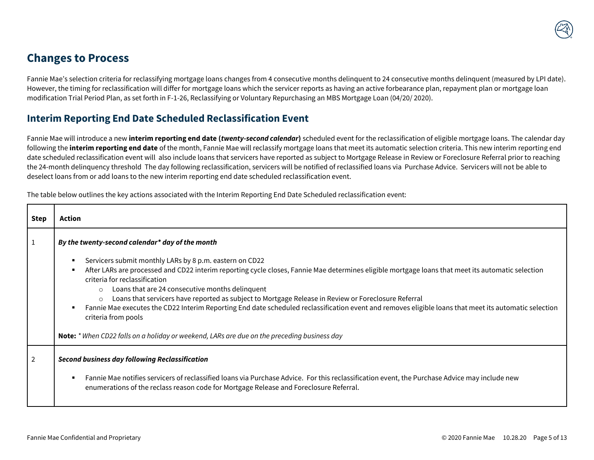## <span id="page-4-0"></span>**Changes to Process**

Fannie Mae's selection criteria for reclassifying mortgage loans changes from 4 consecutive months delinquent to 24 consecutive months delinquent (measured by LPI date). However, the timing for reclassification will differ for mortgage loans which the servicer reports as having an active forbearance plan, repayment plan or mortgage loan modification Trial Period Plan, as set forth in F-1-26, Reclassifying or Voluntary Repurchasing an MBS Mortgage Loan (04/20/ 2020).

#### <span id="page-4-1"></span>**Interim Reporting End Date Scheduled Reclassification Event**

Fannie Mae will introduce a new **interim reporting end date (***twenty-second calendar***)** scheduled event for the reclassification of eligible mortgage loans. The calendar day following the **interim reporting end date** of the month, Fannie Mae will reclassify mortgage loans that meet its automatic selection criteria. This new interim reporting end date scheduled reclassification event will also include loans that servicers have reported as subject to Mortgage Release in Review or Foreclosure Referral prior to reaching the 24-month delinquency threshold The day following reclassification, servicers will be notified of reclassified loans via Purchase Advice. Servicers will not be able to deselect loans from or add loans to the new interim reporting end date scheduled reclassification event.

The table below outlines the key actions associated with the Interim Reporting End Date Scheduled reclassification event:

| Step | Action                                                                                                                                                                                                                                                                                                                                                                                                                                                                                                                                                                                                                                                                                            |  |  |
|------|---------------------------------------------------------------------------------------------------------------------------------------------------------------------------------------------------------------------------------------------------------------------------------------------------------------------------------------------------------------------------------------------------------------------------------------------------------------------------------------------------------------------------------------------------------------------------------------------------------------------------------------------------------------------------------------------------|--|--|
| 1    | By the twenty-second calendar* day of the month                                                                                                                                                                                                                                                                                                                                                                                                                                                                                                                                                                                                                                                   |  |  |
|      | Servicers submit monthly LARs by 8 p.m. eastern on CD22<br>After LARs are processed and CD22 interim reporting cycle closes, Fannie Mae determines eligible mortgage loans that meet its automatic selection<br>criteria for reclassification<br>Loans that are 24 consecutive months delinquent<br>Loans that servicers have reported as subject to Mortgage Release in Review or Foreclosure Referral<br>$\circ$<br>Fannie Mae executes the CD22 Interim Reporting End date scheduled reclassification event and removes eligible loans that meet its automatic selection<br>criteria from pools<br>Note: * When CD22 falls on a holiday or weekend, LARs are due on the preceding business day |  |  |
| 2    | <b>Second business day following Reclassification</b>                                                                                                                                                                                                                                                                                                                                                                                                                                                                                                                                                                                                                                             |  |  |
|      | Fannie Mae notifies servicers of reclassified loans via Purchase Advice. For this reclassification event, the Purchase Advice may include new<br>enumerations of the reclass reason code for Mortgage Release and Foreclosure Referral.                                                                                                                                                                                                                                                                                                                                                                                                                                                           |  |  |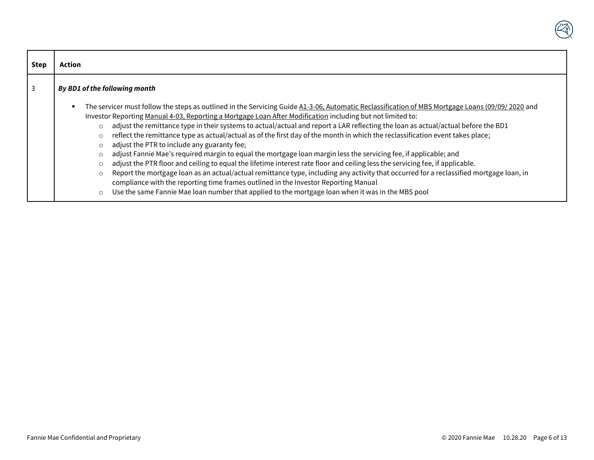| <b>Step</b> | Action                                                                                                                                                                                                                                                                                                                                                                                                                                                                                                                                                                                                                                                                                                                                                                                                                                                                                                                                                                                                                                                                                                                                                                                                                                      |  |  |
|-------------|---------------------------------------------------------------------------------------------------------------------------------------------------------------------------------------------------------------------------------------------------------------------------------------------------------------------------------------------------------------------------------------------------------------------------------------------------------------------------------------------------------------------------------------------------------------------------------------------------------------------------------------------------------------------------------------------------------------------------------------------------------------------------------------------------------------------------------------------------------------------------------------------------------------------------------------------------------------------------------------------------------------------------------------------------------------------------------------------------------------------------------------------------------------------------------------------------------------------------------------------|--|--|
| 3           | By BD1 of the following month                                                                                                                                                                                                                                                                                                                                                                                                                                                                                                                                                                                                                                                                                                                                                                                                                                                                                                                                                                                                                                                                                                                                                                                                               |  |  |
|             | The servicer must follow the steps as outlined in the Servicing Guide A1-3-06, Automatic Reclassification of MBS Mortgage Loans (09/09/2020 and<br>$\blacksquare$<br>Investor Reporting Manual 4-03, Reporting a Mortgage Loan After Modification including but not limited to:<br>adjust the remittance type in their systems to actual/actual and report a LAR reflecting the loan as actual/actual before the BD1<br>$\circ$<br>reflect the remittance type as actual/actual as of the first day of the month in which the reclassification event takes place;<br>O<br>adjust the PTR to include any guaranty fee;<br>O<br>adjust Fannie Mae's required margin to equal the mortgage loan margin less the servicing fee, if applicable; and<br>O<br>adjust the PTR floor and ceiling to equal the lifetime interest rate floor and ceiling less the servicing fee, if applicable.<br>O<br>Report the mortgage loan as an actual/actual remittance type, including any activity that occurred for a reclassified mortgage loan, in<br>$\circ$<br>compliance with the reporting time frames outlined in the Investor Reporting Manual<br>Use the same Fannie Mae loan number that applied to the mortgage loan when it was in the MBS pool |  |  |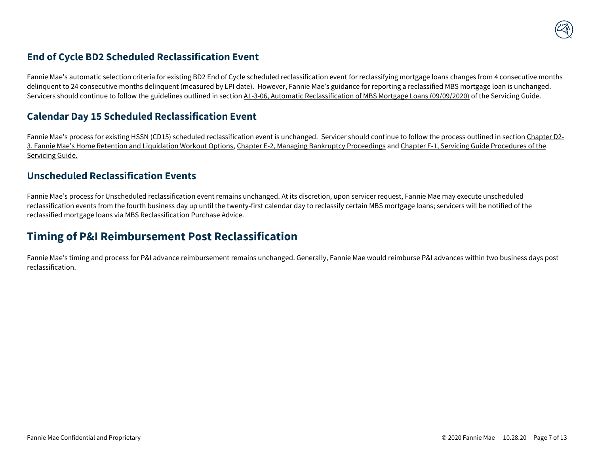#### <span id="page-6-0"></span>**End of Cycle BD2 Scheduled Reclassification Event**

Fannie Mae's automatic selection criteria for existing BD2 End of Cycle scheduled reclassification event for reclassifying mortgage loans changes from 4 consecutive months delinquent to 24 consecutive months delinquent (measured by LPI date). However, Fannie Mae's guidance for reporting a reclassified MBS mortgage loan is unchanged. Servicers should continue to follow the guidelines outlined in section A1-3-06, Automatic Reclassification of MBS Mortgage Loans (09/09/2020) of the Servicing Guide.

#### <span id="page-6-1"></span>**Calendar Day 15 Scheduled Reclassification Event**

Fannie Mae's process for existing HSSN (CD15) scheduled reclassification event is unchanged. Servicer should continue to follow the process outlined in section Chapter D2- 3, Fannie Mae's Home Retention and Liquidation Workout Options, Chapter E-2, Managing Bankruptcy Proceedings and Chapter F-1, Servicing Guide Procedures of the Servicing Guide.

#### <span id="page-6-2"></span>**Unscheduled Reclassification Events**

Fannie Mae's process for Unscheduled reclassification event remains unchanged. At its discretion, upon servicer request, Fannie Mae may execute unscheduled reclassification events from the fourth business day up until the twenty-first calendar day to reclassify certain MBS mortgage loans; servicers will be notified of the reclassified mortgage loans via MBS Reclassification Purchase Advice.

# <span id="page-6-3"></span>**Timing of P&I Reimbursement Post Reclassification**

Fannie Mae's timing and process for P&I advance reimbursement remains unchanged. Generally, Fannie Mae would reimburse P&I advances within two business days post reclassification.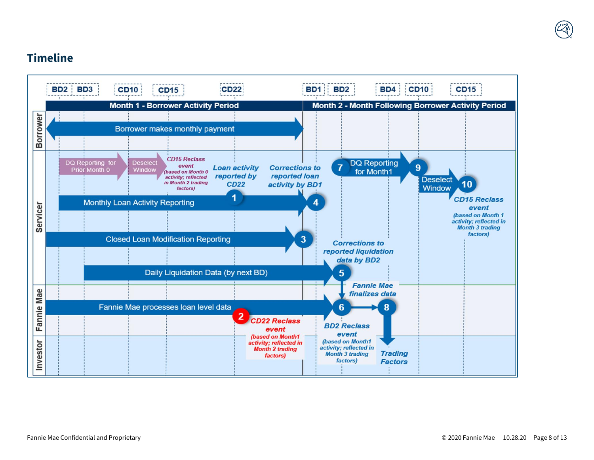## <span id="page-7-0"></span>**Timeline**

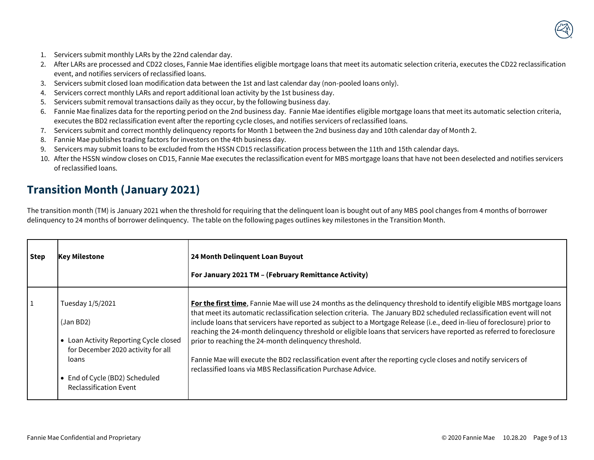- 1. Servicers submit monthly LARs by the 22nd calendar day.
- 2. After LARs are processed and CD22 closes, Fannie Mae identifies eligible mortgage loans that meet its automatic selection criteria, executes the CD22 reclassification event, and notifies servicers of reclassified loans.
- 3. Servicers submit closed loan modification data between the 1st and last calendar day (non-pooled loans only).
- 4. Servicers correct monthly LARs and report additional loan activity by the 1st business day.
- 5. Servicers submit removal transactions daily as they occur, by the following business day.
- 6. Fannie Mae finalizes data for the reporting period on the 2nd business day. Fannie Mae identifies eligible mortgage loans that meet its automatic selection criteria, executes the BD2 reclassification event after the reporting cycle closes, and notifies servicers of reclassified loans.
- 7. Servicers submit and correct monthly delinquency reports for Month 1 between the 2nd business day and 10th calendar day of Month 2.
- 8. Fannie Mae publishes trading factors for investors on the 4th business day.
- 9. Servicers may submit loans to be excluded from the HSSN CD15 reclassification process between the 11th and 15th calendar days.
- 10. After the HSSN window closes on CD15, Fannie Mae executes the reclassification event for MBS mortgage loans that have not been deselected and notifies servicers of reclassified loans.

### <span id="page-8-0"></span>**Transition Month (January 2021)**

The transition month (TM) is January 2021 when the threshold for requiring that the delinquent loan is bought out of any MBS pool changes from 4 months of borrower delinquency to 24 months of borrower delinquency. The table on the following pages outlines key milestones in the Transition Month.

| <b>Step</b> | <b>Key Milestone</b>                                                                                                                                                                                            | 24 Month Delinquent Loan Buyout<br>For January 2021 TM - (February Remittance Activity)                                                                                                                                                                                                                                                                                                                                                                                                                                                                                                                                                                                                                                                           |
|-------------|-----------------------------------------------------------------------------------------------------------------------------------------------------------------------------------------------------------------|---------------------------------------------------------------------------------------------------------------------------------------------------------------------------------------------------------------------------------------------------------------------------------------------------------------------------------------------------------------------------------------------------------------------------------------------------------------------------------------------------------------------------------------------------------------------------------------------------------------------------------------------------------------------------------------------------------------------------------------------------|
| $\vert$ 1   | Tuesday 1/5/2021<br>(Jan BD2)<br>Loan Activity Reporting Cycle closed<br>$\bullet$<br>for December 2020 activity for all<br>loans<br>End of Cycle (BD2) Scheduled<br>$\bullet$<br><b>Reclassification Event</b> | For the first time, Fannie Mae will use 24 months as the delinquency threshold to identify eligible MBS mortgage loans<br>that meet its automatic reclassification selection criteria. The January BD2 scheduled reclassification event will not<br>include loans that servicers have reported as subject to a Mortgage Release (i.e., deed in-lieu of foreclosure) prior to<br>reaching the 24-month delinquency threshold or eligible loans that servicers have reported as referred to foreclosure<br>prior to reaching the 24-month delinguency threshold.<br>Fannie Mae will execute the BD2 reclassification event after the reporting cycle closes and notify servicers of<br>reclassified loans via MBS Reclassification Purchase Advice. |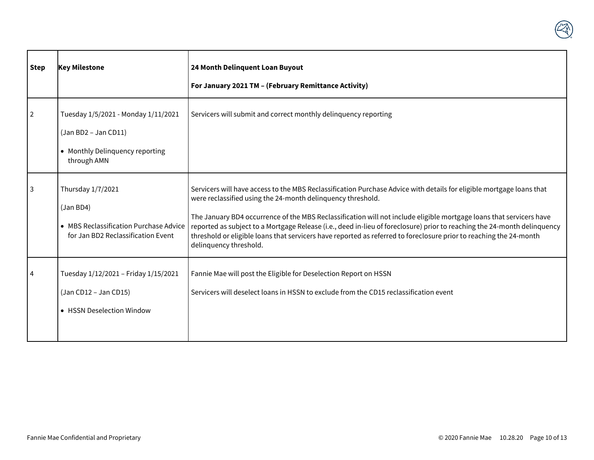| <b>Step</b>    | <b>Key Milestone</b>                                                                                            | 24 Month Delinquent Loan Buyout<br>For January 2021 TM - (February Remittance Activity)                                                                                                                                                                                                                                                                                                                                                                                                                                                                                                |
|----------------|-----------------------------------------------------------------------------------------------------------------|----------------------------------------------------------------------------------------------------------------------------------------------------------------------------------------------------------------------------------------------------------------------------------------------------------------------------------------------------------------------------------------------------------------------------------------------------------------------------------------------------------------------------------------------------------------------------------------|
| $\overline{2}$ | Tuesday 1/5/2021 - Monday 1/11/2021<br>$(Jan BD2 - Jan CD11)$<br>• Monthly Delinquency reporting<br>through AMN | Servicers will submit and correct monthly delinguency reporting                                                                                                                                                                                                                                                                                                                                                                                                                                                                                                                        |
| 3              | Thursday 1/7/2021<br>(Jan BD4)<br>• MBS Reclassification Purchase Advice<br>for Jan BD2 Reclassification Event  | Servicers will have access to the MBS Reclassification Purchase Advice with details for eligible mortgage loans that<br>were reclassified using the 24-month delinquency threshold.<br>The January BD4 occurrence of the MBS Reclassification will not include eligible mortgage loans that servicers have<br>reported as subject to a Mortgage Release (i.e., deed in-lieu of foreclosure) prior to reaching the 24-month delinquency<br>threshold or eligible loans that servicers have reported as referred to foreclosure prior to reaching the 24-month<br>delinquency threshold. |
| 4              | Tuesday 1/12/2021 - Friday 1/15/2021<br>(Jan CD12 - Jan CD15)<br>• HSSN Deselection Window                      | Fannie Mae will post the Eligible for Deselection Report on HSSN<br>Servicers will deselect loans in HSSN to exclude from the CD15 reclassification event                                                                                                                                                                                                                                                                                                                                                                                                                              |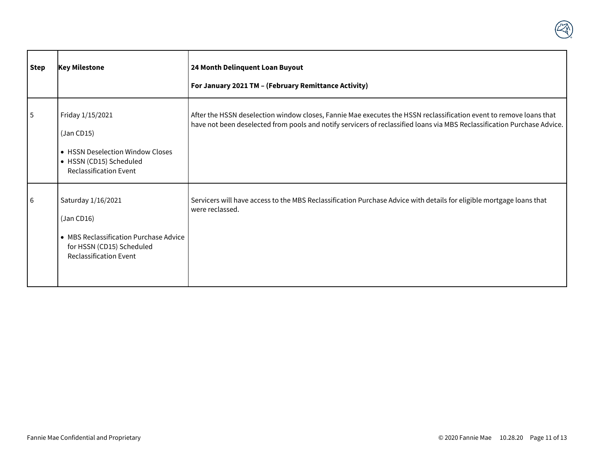| <b>Step</b> | <b>Key Milestone</b>                                                                                                                     | 24 Month Delinquent Loan Buyout<br>For January 2021 TM - (February Remittance Activity)                                                                                                                                                        |
|-------------|------------------------------------------------------------------------------------------------------------------------------------------|------------------------------------------------------------------------------------------------------------------------------------------------------------------------------------------------------------------------------------------------|
| 5           | Friday 1/15/2021<br>(Jan CD15)<br>• HSSN Deselection Window Closes<br>• HSSN (CD15) Scheduled<br><b>Reclassification Event</b>           | After the HSSN deselection window closes, Fannie Mae executes the HSSN reclassification event to remove loans that<br>have not been deselected from pools and notify servicers of reclassified loans via MBS Reclassification Purchase Advice. |
| l 6         | Saturday 1/16/2021<br>(Jan CD16)<br>• MBS Reclassification Purchase Advice<br>for HSSN (CD15) Scheduled<br><b>Reclassification Event</b> | Servicers will have access to the MBS Reclassification Purchase Advice with details for eligible mortgage loans that<br>were reclassed.                                                                                                        |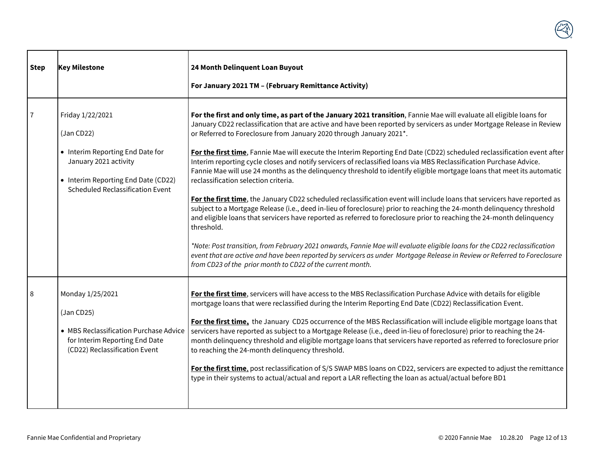

| <b>Step</b> | <b>Key Milestone</b>                                                                                                                                                          | 24 Month Delinquent Loan Buyout                                                                                                                                                                                                                                                                                                                                                                                                                                                                                                                                                                                                                                                                                                                                                                                                                                                                                                                                                                                                                                                                                                                                                                                                                                                                                                                                                                                                                               |  |
|-------------|-------------------------------------------------------------------------------------------------------------------------------------------------------------------------------|---------------------------------------------------------------------------------------------------------------------------------------------------------------------------------------------------------------------------------------------------------------------------------------------------------------------------------------------------------------------------------------------------------------------------------------------------------------------------------------------------------------------------------------------------------------------------------------------------------------------------------------------------------------------------------------------------------------------------------------------------------------------------------------------------------------------------------------------------------------------------------------------------------------------------------------------------------------------------------------------------------------------------------------------------------------------------------------------------------------------------------------------------------------------------------------------------------------------------------------------------------------------------------------------------------------------------------------------------------------------------------------------------------------------------------------------------------------|--|
|             |                                                                                                                                                                               | For January 2021 TM - (February Remittance Activity)                                                                                                                                                                                                                                                                                                                                                                                                                                                                                                                                                                                                                                                                                                                                                                                                                                                                                                                                                                                                                                                                                                                                                                                                                                                                                                                                                                                                          |  |
|             | Friday 1/22/2021<br>(Jan CD22)<br>• Interim Reporting End Date for<br>January 2021 activity<br>• Interim Reporting End Date (CD22)<br><b>Scheduled Reclassification Event</b> | For the first and only time, as part of the January 2021 transition, Fannie Mae will evaluate all eligible loans for<br>January CD22 reclassification that are active and have been reported by servicers as under Mortgage Release in Review<br>or Referred to Foreclosure from January 2020 through January 2021*.<br>For the first time, Fannie Mae will execute the Interim Reporting End Date (CD22) scheduled reclassification event after<br>Interim reporting cycle closes and notify servicers of reclassified loans via MBS Reclassification Purchase Advice.<br>Fannie Mae will use 24 months as the delinquency threshold to identify eligible mortgage loans that meet its automatic<br>reclassification selection criteria.<br>For the first time, the January CD22 scheduled reclassification event will include loans that servicers have reported as<br>subject to a Mortgage Release (i.e., deed in-lieu of foreclosure) prior to reaching the 24-month delinquency threshold<br>and eligible loans that servicers have reported as referred to foreclosure prior to reaching the 24-month delinquency<br>threshold.<br>*Note: Post transition, from February 2021 onwards, Fannie Mae will evaluate eligible loans for the CD22 reclassification<br>event that are active and have been reported by servicers as under Mortgage Release in Review or Referred to Foreclosure<br>from CD23 of the prior month to CD22 of the current month. |  |
| 8           | Monday 1/25/2021<br>(Jan CD25)<br>• MBS Reclassification Purchase Advice<br>for Interim Reporting End Date<br>(CD22) Reclassification Event                                   | For the first time, servicers will have access to the MBS Reclassification Purchase Advice with details for eligible<br>mortgage loans that were reclassified during the Interim Reporting End Date (CD22) Reclassification Event.<br>For the first time, the January CD25 occurrence of the MBS Reclassification will include eligible mortgage loans that<br>servicers have reported as subject to a Mortgage Release (i.e., deed in-lieu of foreclosure) prior to reaching the 24-<br>month delinquency threshold and eligible mortgage loans that servicers have reported as referred to foreclosure prior<br>to reaching the 24-month delinquency threshold.<br>For the first time, post reclassification of S/S SWAP MBS loans on CD22, servicers are expected to adjust the remittance<br>type in their systems to actual/actual and report a LAR reflecting the loan as actual/actual before BD1                                                                                                                                                                                                                                                                                                                                                                                                                                                                                                                                                      |  |